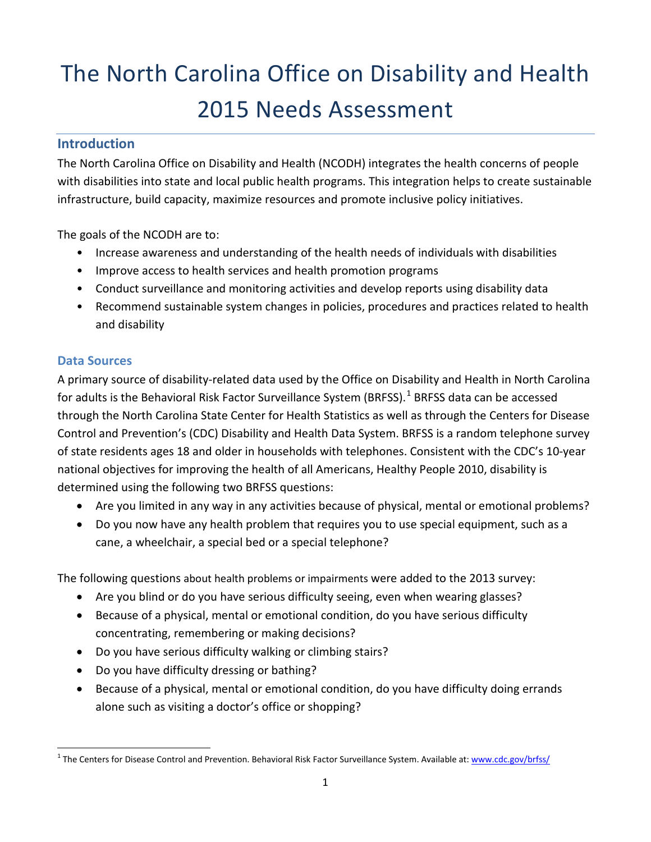# The North Carolina Office on Disability and Health 2015 Needs Assessment

#### **Introduction**

The North Carolina Office on Disability and Health (NCODH) integrates the health concerns of people with disabilities into state and local public health programs. This integration helps to create sustainable infrastructure, build capacity, maximize resources and promote inclusive policy initiatives.

The goals of the NCODH are to:

- Increase awareness and understanding of the health needs of individuals with disabilities
- Improve access to health services and health promotion programs
- Conduct surveillance and monitoring activities and develop reports using disability data
- Recommend sustainable system changes in policies, procedures and practices related to health and disability

#### **Data Sources**

A primary source of disability-related data used by the Office on Disability and Health in North Carolina for adults is the Behavioral Risk Factor Surveillance System (BRFSS).<sup>[1](#page-0-0)</sup> BRFSS data can be accessed through the North Carolina State Center for Health Statistics as well as through the Centers for Disease Control and Prevention's (CDC) Disability and Health Data System. BRFSS is a random telephone survey of state residents ages 18 and older in households with telephones. Consistent with the CDC's 10-year national objectives for improving the health of all Americans, Healthy People 2010, disability is determined using the following two BRFSS questions:

- Are you limited in any way in any activities because of physical, mental or emotional problems?
- Do you now have any health problem that requires you to use special equipment, such as a cane, a wheelchair, a special bed or a special telephone?

The following questions about health problems or impairments were added to the 2013 survey:

- Are you blind or do you have serious difficulty seeing, even when wearing glasses?
- Because of a physical, mental or emotional condition, do you have serious difficulty concentrating, remembering or making decisions?
- Do you have serious difficulty walking or climbing stairs?
- Do you have difficulty dressing or bathing?
- Because of a physical, mental or emotional condition, do you have difficulty doing errands alone such as visiting a doctor's office or shopping?

<span id="page-0-0"></span><sup>&</sup>lt;sup>1</sup> The Centers for Disease Control and Prevention. Behavioral Risk Factor Surveillance System. Available at[: www.cdc.gov/brfss/](http://www.cdc.gov/brfss/)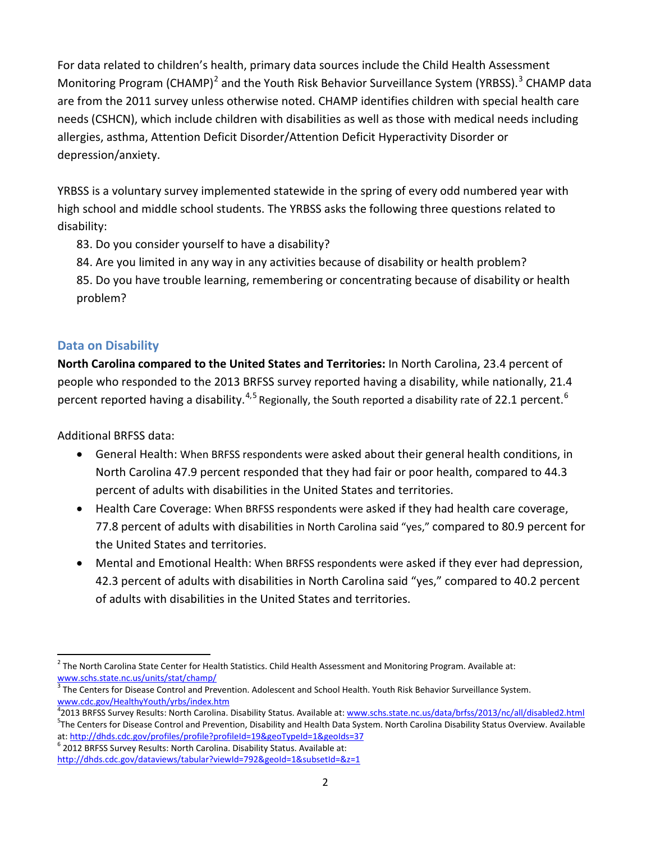For data related to children's health, primary data sources include the Child Health Assessment Monitoring Program (CHAMP)<sup>[2](#page-1-0)</sup> and the Youth Risk Behavior Surveillance System (YRBSS).<sup>[3](#page-1-1)</sup> CHAMP data are from the 2011 survey unless otherwise noted. CHAMP identifies children with special health care needs (CSHCN), which include children with disabilities as well as those with medical needs including allergies, asthma, Attention Deficit Disorder/Attention Deficit Hyperactivity Disorder or depression/anxiety.

YRBSS is a voluntary survey implemented statewide in the spring of every odd numbered year with high school and middle school students. The YRBSS asks the following three questions related to disability:

83. Do you consider yourself to have a disability?

84. Are you limited in any way in any activities because of disability or health problem?

85. Do you have trouble learning, remembering or concentrating because of disability or health problem?

#### **Data on Disability**

**North Carolina compared to the United States and Territories:** In North Carolina, 23.4 percent of people who responded to the 2013 BRFSS survey reported having a disability, while nationally, 21.4 percent reported having a disability.<sup>[4](#page-1-2),[5](#page-1-3)</sup> Regionally, the South reported a disability rate of 22.1 percent.<sup>[6](#page-1-4)</sup>

Additional BRFSS data:

- General Health: When BRFSS respondents were asked about their general health conditions, in North Carolina 47.9 percent responded that they had fair or poor health, compared to 44.3 percent of adults with disabilities in the United States and territories.
- Health Care Coverage: When BRFSS respondents were asked if they had health care coverage, 77.8 percent of adults with disabilities in North Carolina said "yes," compared to 80.9 percent for the United States and territories.
- Mental and Emotional Health: When BRFSS respondents were asked if they ever had depression, 42.3 percent of adults with disabilities in North Carolina said "yes," compared to 40.2 percent of adults with disabilities in the United States and territories.

<span id="page-1-4"></span> $6$  2012 BRFSS Survey Results: North Carolina. Disability Status. Available at:

<span id="page-1-0"></span> $2$  The North Carolina State Center for Health Statistics. Child Health Assessment and Monitoring Program. Available at: [www.schs.state.nc.us/units/stat/champ/](http://www.schs.state.nc.us/units/stat/champ/)

<span id="page-1-1"></span> $\frac{3}{3}$ The Centers for Disease Control and Prevention. Adolescent and School Health. Youth Risk Behavior Surveillance System. [www.cdc.gov/HealthyYouth/yrbs/index.htm](http://www.cdc.gov/HealthyYouth/yrbs/index.htm)

<span id="page-1-3"></span><span id="page-1-2"></span><sup>&</sup>lt;sup>4</sup>2013 BRFSS Survey Results: North Carolina. Disability Status. Available at: <u>www.schs.state.nc.us/data/brfss/2013/nc/all/disabled2.html</u><br><sup>5</sup>The Centers for Disasce Central and Provention. Disability and Health Data Syst <sup>5</sup>The Centers for Disease Control and Prevention, Disability and Health Data System. North Carolina Disability Status Overview. Available at: http://dhds.cdc.gov/profiles/profile?profile1=19&geoTypeId=1&geoIds=37

<http://dhds.cdc.gov/dataviews/tabular?viewId=792&geoId=1&subsetId=&z=1>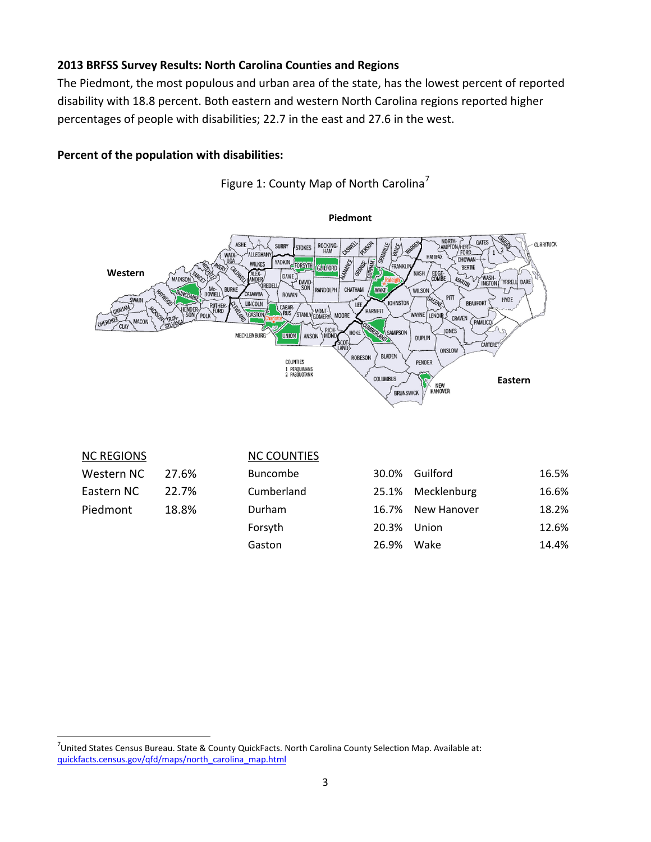#### **2013 BRFSS Survey Results: North Carolina Counties and Regions**

The Piedmont, the most populous and urban area of the state, has the lowest percent of reported disability with 18.8 percent. Both eastern and western North Carolina regions reported higher percentages of people with disabilities; 22.7 in the east and 27.6 in the west.

#### **Percent of the population with disabilities:**



Figure 1: County Map of North Carolina<sup>[7](#page-2-0)</sup>

| <b>NC REGIONS</b> |       | <b>NC COUNTIES</b> |       |                   |       |
|-------------------|-------|--------------------|-------|-------------------|-------|
| Western NC        | 27.6% | <b>Buncombe</b>    | 30.0% | Guilford          | 16.5% |
| Eastern NC        | 22.7% | Cumberland         |       | 25.1% Mecklenburg | 16.6% |
| Piedmont          | 18.8% | Durham             | 16.7% | New Hanover       | 18.2% |
|                   |       | Forsyth            | 20.3% | Union             | 12.6% |
|                   |       | Gaston             | 26.9% | Wake              | 14.4% |

<span id="page-2-0"></span><sup>-&</sup>lt;br>7  $\textsuperscript{7}$ United States Census Bureau. State & County QuickFacts. North Carolina County Selection Map. Available at: [quickfacts.census.gov/qfd/maps/north\\_carolina\\_map.html](http://quickfacts.census.gov/qfd/maps/north_carolina_map.html)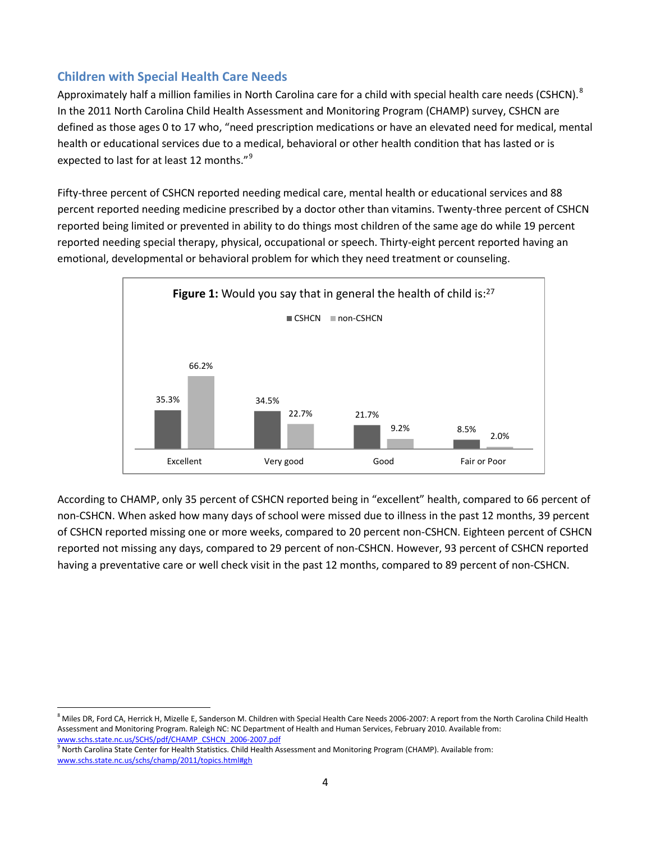Approximately half a million families in North Carolina care for a child with special health care needs (CSHCN).  $8$ In the 2011 North Carolina Child Health Assessment and Monitoring Program (CHAMP) survey, CSHCN are defined as those ages 0 to 17 who, "need prescription medications or have an elevated need for medical, mental health or educational services due to a medical, behavioral or other health condition that has lasted or is expected to last for at least 12 months."<sup>[9](#page-3-1)</sup>

Fifty-three percent of CSHCN reported needing medical care, mental health or educational services and 88 percent reported needing medicine prescribed by a doctor other than vitamins. Twenty-three percent of CSHCN reported being limited or prevented in ability to do things most children of the same age do while 19 percent reported needing special therapy, physical, occupational or speech. Thirty-eight percent reported having an emotional, developmental or behavioral problem for which they need treatment or counseling.



According to CHAMP, only 35 percent of CSHCN reported being in "excellent" health, compared to 66 percent of non-CSHCN. When asked how many days of school were missed due to illness in the past 12 months, 39 percent of CSHCN reported missing one or more weeks, compared to 20 percent non-CSHCN. Eighteen percent of CSHCN reported not missing any days, compared to 29 percent of non-CSHCN. However, 93 percent of CSHCN reported having a preventative care or well check visit in the past 12 months, compared to 89 percent of non-CSHCN.

<span id="page-3-0"></span><sup>8</sup> Miles DR, Ford CA, Herrick H, Mizelle E, Sanderson M. Children with Special Health Care Needs 2006-2007: A report from the North Carolina Child Health Assessment and Monitoring Program. Raleigh NC[:](http://www.schs.state.nc.us/SCHS/pdf/CHAMP_CSHCN_2006-2007.pdf) NC Department of Health and Human Services, February 2010. Available from:<br>www.schs.state.nc.us/SCHS/pdf/CHAMP\_CSHCN\_2006-2007.pdf

<span id="page-3-1"></span><sup>&</sup>lt;sup>9</sup> North Carolina State Center for Health Statistics. Child Health Assessment and Monitoring Program (CHAMP). Available from: [www.schs.state.nc.us/schs/champ/2011/topics.html#gh](http://www.schs.state.nc.us/SCHS/champ/2011/tpics.html#cshcn)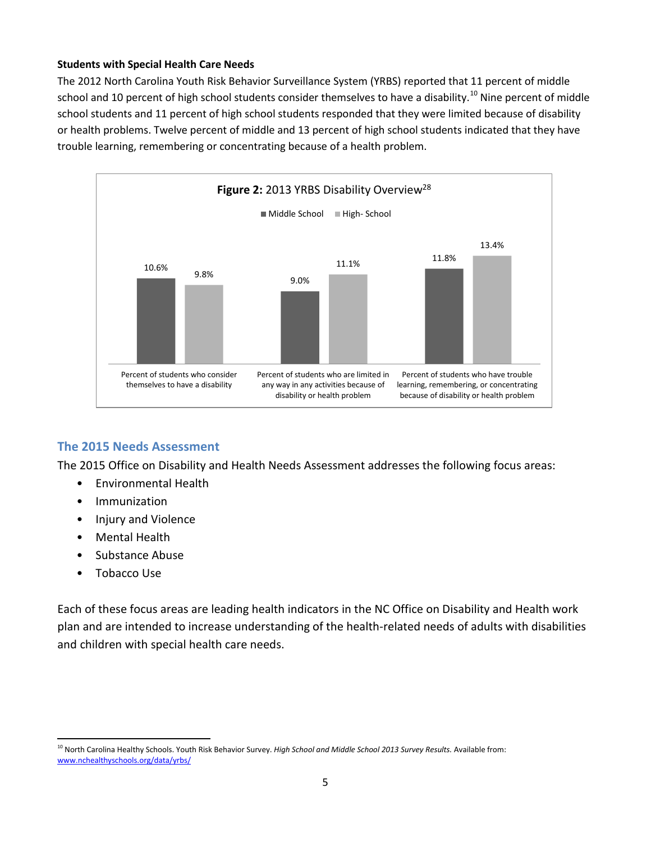#### **Students with Special Health Care Needs**

The 2012 North Carolina Youth Risk Behavior Surveillance System (YRBS) reported that 11 percent of middle school and [10](#page-4-0) percent of high school students consider themselves to have a disability.<sup>10</sup> Nine percent of middle school students and 11 percent of high school students responded that they were limited because of disability or health problems. Twelve percent of middle and 13 percent of high school students indicated that they have trouble learning, remembering or concentrating because of a health problem.



#### **The 2015 Needs Assessment**

The 2015 Office on Disability and Health Needs Assessment addresses the following focus areas:

- Environmental Health
- Immunization
- Injury and Violence
- Mental Health
- Substance Abuse
- Tobacco Use

Each of these focus areas are leading health indicators in the NC Office on Disability and Health work plan and are intended to increase understanding of the health-related needs of adults with disabilities and children with special health care needs.

<span id="page-4-0"></span><sup>&</sup>lt;sup>10</sup> North Carolina Healthy Schools. Youth Risk Behavior Survey. *High School and Middle School 2013 Survey Results*. Available from: [www.nchealthyschools.org/data/yrbs/](http://www.nchealthyschools.org/data/yrbs/)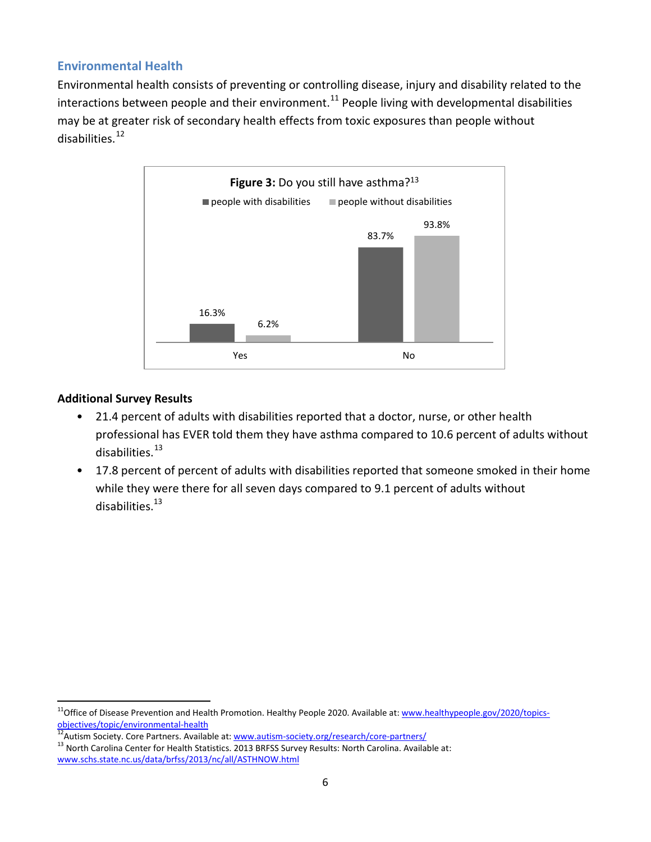#### **Environmental Health**

Environmental health consists of preventing or controlling disease, injury and disability related to the interactions between people and their environment.<sup>[11](#page-5-0)</sup> People living with developmental disabilities may be at greater risk of secondary health effects from toxic exposures than people without disabilities.[12](#page-5-1)



- 21.4 percent of adults with disabilities reported that a doctor, nurse, or other health professional has EVER told them they have asthma compared to 10.6 percent of adults without disabilities. [13](#page-5-2)
- 17.8 percent of percent of adults with disabilities reported that someone smoked in their home while they were there for all seven days compared to 9.1 percent of adults without disabilities. 13

<span id="page-5-0"></span><sup>&</sup>lt;sup>11</sup>Office of Disease Prevention and Health Promotion. Healthy People 2020. Available at: [www.healthypeople.gov/2020/topics](http://www.healthypeople.gov/2020/topics-objectives/topic/environmental-health)[objectives/topic/environmental-health](http://www.healthypeople.gov/2020/topics-objectives/topic/environmental-health)<br><sup>12</sup> Autism Society. Core Partners. Available at: [www.autism-society.org/research/core-partners/](http://www.autism-society.org/research/core-partners/)<br><sup>13</sup> North Carolina Center for Health Statistics. 2013 BRFSS Survey Results: North Caro

<span id="page-5-1"></span>

<span id="page-5-2"></span>[www.schs.state.nc.us/data/brfss/2013/nc/all/ASTHNOW.html](http://www.schs.state.nc.us/data/brfss/2013/nc/all/ASTHNOW.html)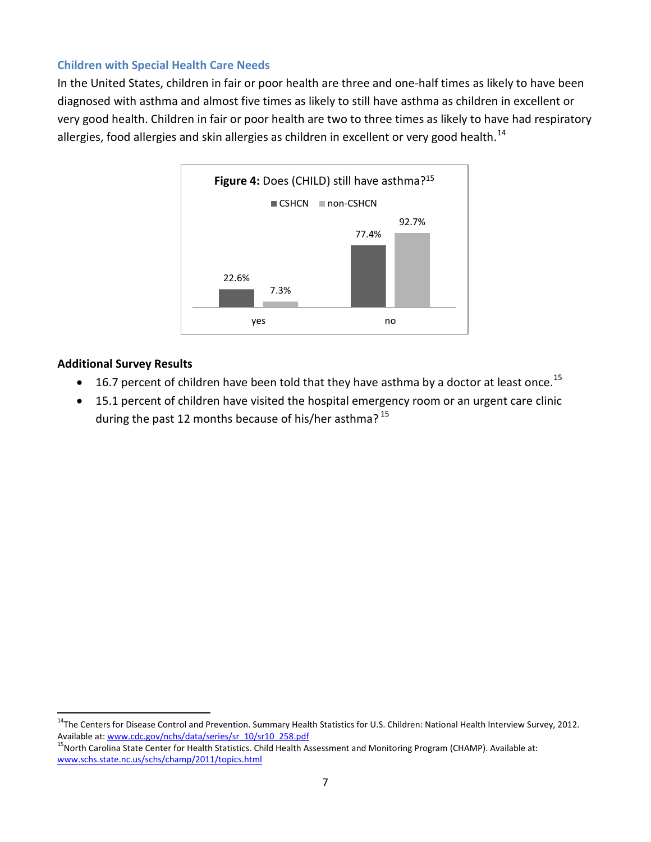In the United States, children in fair or poor health are three and one-half times as likely to have been diagnosed with asthma and almost five times as likely to still have asthma as children in excellent or very good health. Children in fair or poor health are two to three times as likely to have had respiratory allergies, food allergies and skin allergies as children in excellent or very good health.<sup>[14](#page-6-0)</sup>



- $\bullet$  16.7 percent of children have been told that they have asthma by a doctor at least once.<sup>[15](#page-6-1)</sup>
- 15.1 percent of children have visited the hospital emergency room or an urgent care clinic during the past 12 months because of his/her asthma?<sup>15</sup>

<span id="page-6-0"></span><sup>&</sup>lt;sup>14</sup>The Centers for Disease Control and Prevention. Summary Health Statistics for U.S. Children: National Health Interview Survey, 2012.<br>Available at: www.cdc.gov/nchs/data/series/sr 10/sr10 258.pdf

<span id="page-6-1"></span><sup>&</sup>lt;sup>15</sup>North Carolina State Center for Health Statistics. Child Health Assessment and Monitoring Program (CHAMP). Available at: [www.schs.state.nc.us/schs/champ/2011/topics.html](http://www.schs.state.nc.us/schs/champ/2011/topics.html)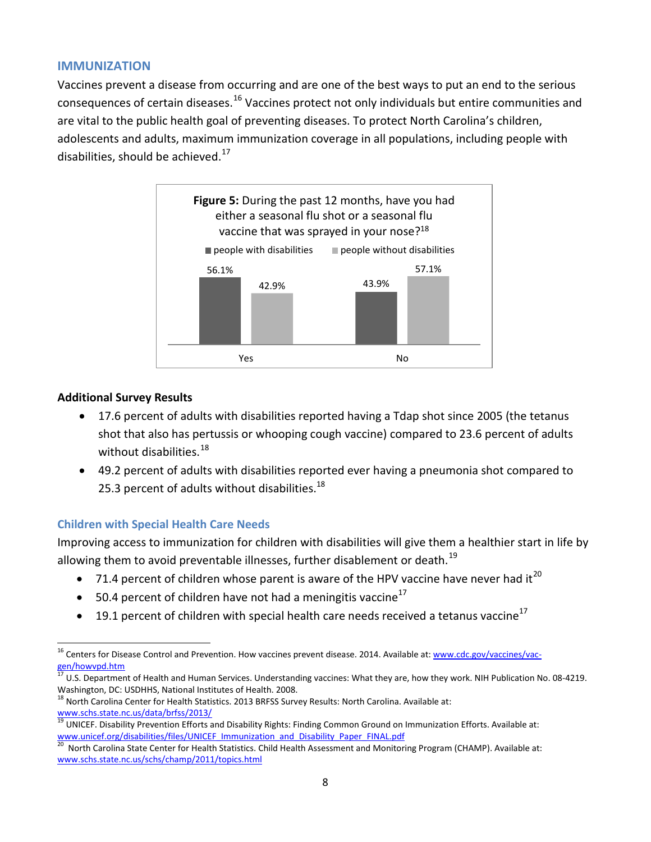#### **IMMUNIZATION**

Vaccines prevent a disease from occurring and are one of the best ways to put an end to the serious consequences of certain diseases.[16](#page-7-0) Vaccines protect not only individuals but entire communities and are vital to the public health goal of preventing diseases. To protect North Carolina's children, adolescents and adults, maximum immunization coverage in all populations, including people with disabilities, should be achieved.<sup>[17](#page-7-1)</sup>



#### **Additional Survey Results**

- 17.6 percent of adults with disabilities reported having a Tdap shot since 2005 (the tetanus shot that also has pertussis or whooping cough vaccine) compared to 23.6 percent of adults without disabilities.<sup>[18](#page-7-2)</sup>
- 49.2 percent of adults with disabilities reported ever having a pneumonia shot compared to 25.3 percent of adults without disabilities. $^{18}$

#### **Children with Special Health Care Needs**

Improving access to immunization for children with disabilities will give them a healthier start in life by allowing them to avoid preventable illnesses, further disablement or death.<sup>[19](#page-7-3)</sup>

- 71.4 percent of children whose parent is aware of the HPV vaccine have never had it<sup>[20](#page-7-4)</sup>
- 50.4 percent of children have not had a meningitis vaccine<sup>17</sup>
- 19.1 percent of children with special health care needs received a tetanus vaccine<sup>17</sup>

<span id="page-7-0"></span><sup>&</sup>lt;sup>16</sup> Centers for Disease Control and Prevention. How vaccines prevent disease. 2014. Available at: [www.cdc.gov/vaccines/vac](http://www.cdc.gov/vaccines/vac-gen/howvpd.htm)[gen/howvpd.htm](http://www.cdc.gov/vaccines/vac-gen/howvpd.htm)

<span id="page-7-1"></span><sup>17</sup> U.S. Department of Health and Human Services. Understanding vaccines: What they are, how they work. NIH Publication No. 08-4219. Washington, DC: USDHHS, National Institutes of Health. 2008.

<span id="page-7-2"></span><sup>&</sup>lt;sup>18</sup> North Carolina Center for Health Statistics. 2013 BRFSS Survey Results: North Carolina. Available at:

<span id="page-7-3"></span>www.schs.state.nc.us/data/brfss/2013/<br><sup>19</sup> UNICEF. Disability Prevention Efforts and Disability Rights: Finding Common Ground on Immunization Efforts. Available at:<br>www.unicef.org/disabilities/files/UNICEF Immunization and

<span id="page-7-4"></span>North Carolina State Center for Health Statistics. Child Health Assessment and Monitoring Program (CHAMP). Available at: [www.schs.state.nc.us/schs/champ/2011/topics.html](http://www.schs.state.nc.us/schs/champ/2011/topics.html)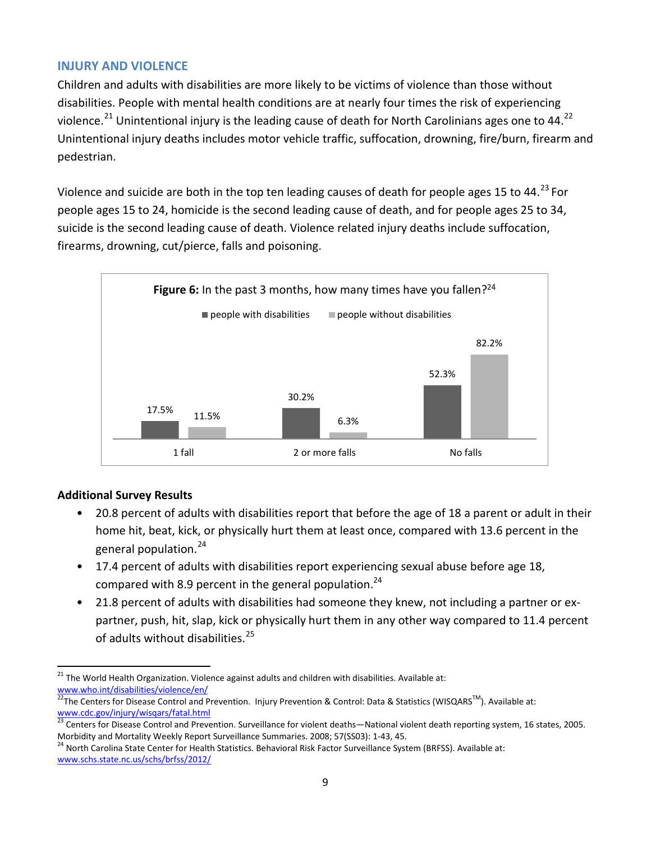#### **INJURY AND VIOLENCE**

Children and adults with disabilities are more likely to be victims of violence than those without disabilities. People with mental health conditions are at nearly four times the risk of experiencing violence.<sup>[21](#page-8-0)</sup> Unintentional injury is the leading cause of death for North Carolinians ages one to 44.<sup>[22](#page-8-1)</sup> Unintentional injury deaths includes motor vehicle traffic, suffocation, drowning, fire/burn, firearm and pedestrian.

Violence and suicide are both in the top ten leading causes of death for people ages 15 to 44.<sup>[23](#page-8-2)</sup> For people ages 15 to 24, homicide is the second leading cause of death, and for people ages 25 to 34, suicide is the second leading cause of death. Violence related injury deaths include suffocation, firearms, drowning, cut/pierce, falls and poisoning.



#### **Additional Survey Results**

- 20.8 percent of adults with disabilities report that before the age of 18 a parent or adult in their home hit, beat, kick, or physically hurt them at least once, compared with 13.6 percent in the general population.[24](#page-8-3)
- 17.4 percent of adults with disabilities report experiencing sexual abuse before age 18, compared with 8.9 percent in the general population.<sup>24</sup>
- 21.8 percent of adults with disabilities had someone they knew, not including a partner or expartner, push, hit, slap, kick or physically hurt them in any other way compared to 11.4 percent of adults without disabilities.<sup>[25](#page-8-1)</sup>

<span id="page-8-0"></span><sup>21</sup> The World Health Organization. Violence against adults and children with disabilities. Available at: www.who.int/disabilities/violence/en/<br><sup>22</sup>The Centers for Disease Control and Prevention. Injury Prevention & Control: Data & Statistics (WISQARS<sup>TM</sup>). Available at:

<span id="page-8-1"></span>[www.cdc.gov/injury/wisqars/fatal.html](http://www.cdc.gov/injury/wisqars/fatal.html)

<span id="page-8-2"></span><sup>&</sup>lt;sup>23</sup> Centers for Disease Control and Prevention. Surveillance for violent deaths—National violent death reporting system, 16 states, 2005. Morbidity and Mortality Weekly Report Surveillance Summaries. 2008; 57(SS03): 1-43, 45.<br><sup>24</sup> North Carolina State Center for Health Statistics. Behavioral Risk Factor Surveillance System (BRFSS). Available at:

<span id="page-8-3"></span>[www.schs.state.nc.us/schs/brfss/2012/](http://www.schs.state.nc.us/schs/brfss/2012/)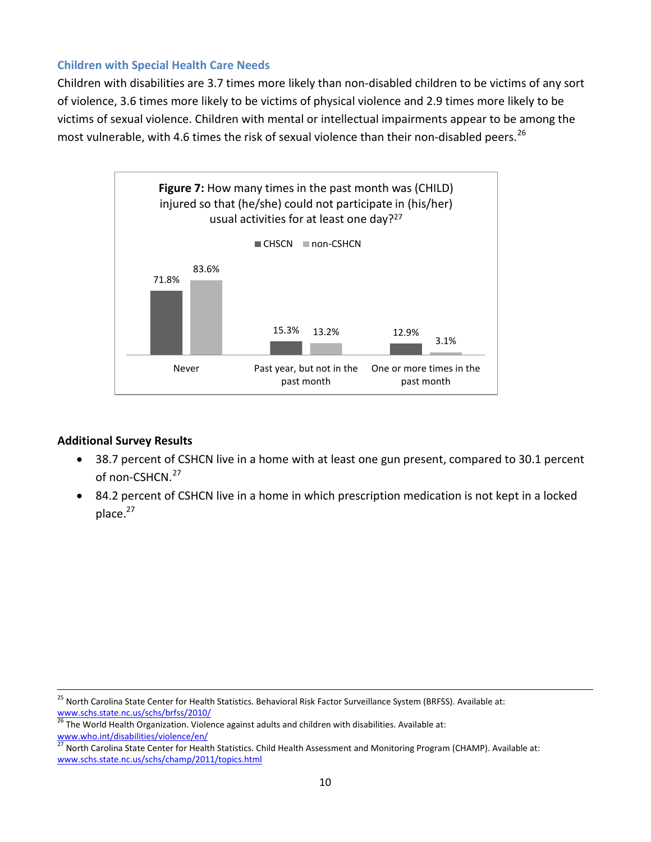Children with disabilities are 3.7 times more likely than non-disabled children to be victims of any sort of violence, 3.6 times more likely to be victims of physical violence and 2.9 times more likely to be victims of sexual violence. Children with mental or intellectual impairments appear to be among the most vulnerable, with 4.6 times the risk of sexual violence than their non-disabled peers.<sup>[26](#page-9-0)</sup>



- 38.7 percent of CSHCN live in a home with at least one gun present, compared to 30.1 percent of non-CSHCN.<sup>[27](#page-9-1)</sup>
- 84.2 percent of CSHCN live in a home in which prescription medication is not kept in a locked place.<sup>27</sup>

<sup>&</sup>lt;sup>25</sup> North Carolina State Center for Health Statistics. Behavioral Risk Factor Surveillance System (BRFSS). Available at: [www.schs.state.nc.us/schs/brfss/2010/](http://www.schs.state.nc.us/schs/brfss/2010/)

<span id="page-9-0"></span> $\frac{26}{10}$  The World Health Organization. Violence against adults and children with disabilities. Available at: [www.who.int/disabilities/violence/en/](http://www.who.int/disabilities/violence/en/)<br>27 Next: 2.

<span id="page-9-1"></span><sup>27</sup> North Carolina State Center for Health Statistics. Child Health Assessment and Monitoring Program (CHAMP). Available at: [www.schs.state.nc.us/schs/champ/2011/topics.html](http://www.schs.state.nc.us/schs/champ/2011/topics.html)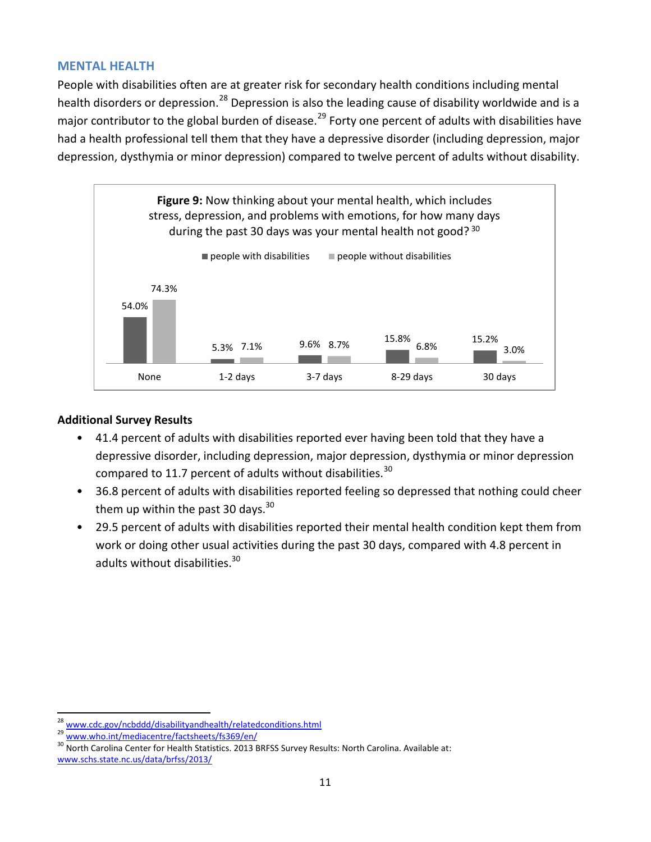#### **MENTAL HEALTH**

People with disabilities often are at greater risk for secondary health conditions including mental health disorders or depression.<sup>[28](#page-10-0)</sup> Depression is also the leading cause of disability worldwide and is a major contributor to the global burden of disease.<sup>[29](#page-10-1)</sup> Forty one percent of adults with disabilities have had a health professional tell them that they have a depressive disorder (including depression, major depression, dysthymia or minor depression) compared to twelve percent of adults without disability.



- 41.4 percent of adults with disabilities reported ever having been told that they have a depressive disorder, including depression, major depression, dysthymia or minor depression compared to 11.7 percent of adults without disabilities.  $^{30}$  $^{30}$  $^{30}$
- 36.8 percent of adults with disabilities reported feeling so depressed that nothing could cheer them up within the past 30 days.<sup>30</sup>
- 29.5 percent of adults with disabilities reported their mental health condition kept them from work or doing other usual activities during the past 30 days, compared with 4.8 percent in adults without disabilities.<sup>30</sup>

<span id="page-10-2"></span>

<span id="page-10-1"></span><span id="page-10-0"></span><sup>&</sup>lt;sup>28</sup> [www.cdc.gov/ncbddd/disabilityandhealth/relatedconditions.html](http://www.cdc.gov/ncbddd/disabilityandhealth/relatedconditions.html)<br><sup>29</sup> [www.who.int/mediacentre/factsheets/fs369/en/](http://www.who.int/mediacentre/factsheets/fs369/en/)<br><sup>30</sup> North Carolina Center for Health Statistics. 2013 BRFSS Survey Results: North Carolina. Available at [www.schs.state.nc.us/data/brfss/2013/](http://www.schs.state.nc.us/data/brfss/2013/)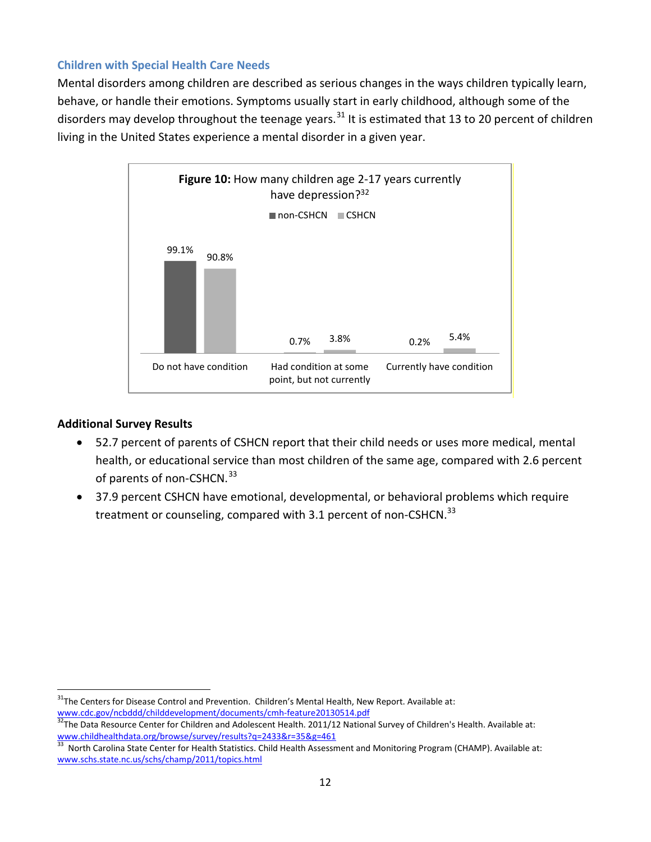Mental disorders among children are described as serious changes in the ways children typically learn, behave, or handle their emotions. Symptoms usually start in early childhood, although some of the disorders may develop throughout the teenage years.<sup>[31](#page-11-0)</sup> It is estimated that 13 to 20 percent of children living in the United States experience a mental disorder in a given year.



- 52.7 percent of parents of CSHCN report that their child needs or uses more medical, mental health, or educational service than most children of the same age, compared with 2.6 percent of parents of non-CSHCN.<sup>[33](#page-11-2)</sup>
- 37.9 percent CSHCN have emotional, developmental, or behavioral problems which require treatment or counseling, compared with 3.1 percent of non-CSHCN.<sup>33</sup>

<span id="page-11-0"></span><sup>&</sup>lt;sup>31</sup>The Centers for Disease Control and Prevention. Children's Mental Health, New Report. Available at:<br>www.cdc.gov/ncbddd/childdevelopment/documents/cmh-feature20130514.pdf

<span id="page-11-1"></span><sup>&</sup>lt;sup>32</sup>The Data Resource Center for Children and Adolescent Health. 2011/12 National Survey of Children's Health. Available at:<br>www.childhealthdata.org/browse/survey/results?q=2433&r=35&g=461<br><sup>33</sup> North Cerelina State Center

<span id="page-11-2"></span>North Carolina State Center for Health Statistics. Child Health Assessment and Monitoring Program (CHAMP). Available at: [www.schs.state.nc.us/schs/champ/2011/topics.html](http://www.schs.state.nc.us/schs/champ/2011/topics.html)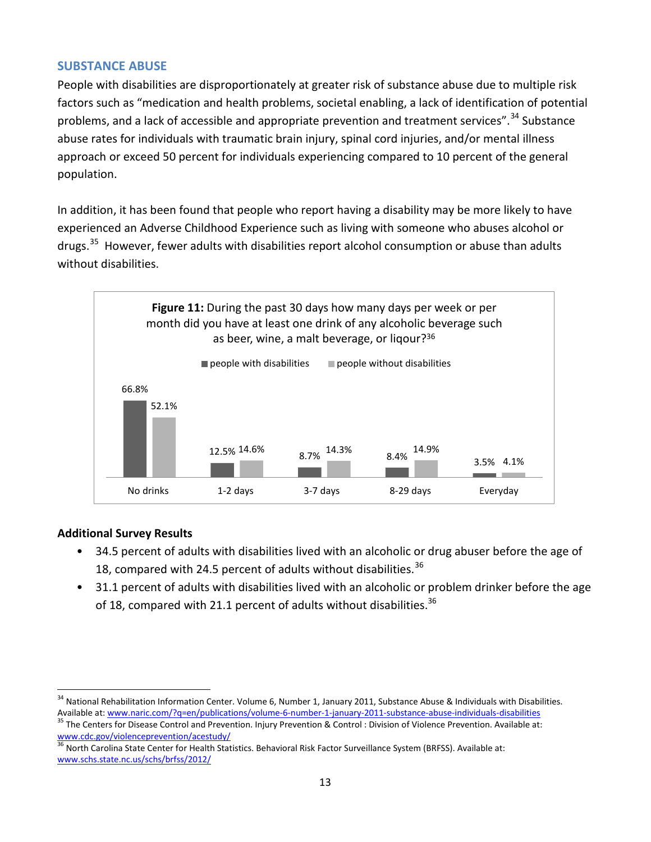#### **SUBSTANCE ABUSE**

People with disabilities are disproportionately at greater risk of substance abuse due to multiple risk factors such as "medication and health problems, societal enabling, a lack of identification of potential problems, and a lack of accessible and appropriate prevention and treatment services".<sup>[34](#page-12-0)</sup> Substance abuse rates for individuals with traumatic brain injury, spinal cord injuries, and/or mental illness approach or exceed 50 percent for individuals experiencing compared to 10 percent of the general population.

In addition, it has been found that people who report having a disability may be more likely to have experienced an Adverse Childhood Experience such as living with someone who abuses alcohol or drugs.<sup>[35](#page-12-1)</sup> However, fewer adults with disabilities report alcohol consumption or abuse than adults without disabilities.



- 34.5 percent of adults with disabilities lived with an alcoholic or drug abuser before the age of 18, compared with 24.5 percent of adults without disabilities.  $36$
- 31.1 percent of adults with disabilities lived with an alcoholic or problem drinker before the age of 18, compared with 21.1 percent of adults without disabilities.<sup>36</sup>

<span id="page-12-0"></span><sup>&</sup>lt;sup>34</sup> National Rehabilitation Information Center. Volume 6, Number 1, January 2011, Substance Abuse & Individuals with Disabilities.<br>Available at: www.naric.com/?q=en/publications/volume-6-number-1-january-2011-substance-a

<span id="page-12-1"></span><sup>35</sup> The Centers for Disease Control and Prevention. Injury Prevention & Control: Division of Violence Prevention. Available at: [www.cdc.gov/violenceprevention/acestudy/](http://www.cdc.gov/violenceprevention/acestudy/)

<span id="page-12-2"></span><sup>36</sup> North Carolina State Center for Health Statistics. Behavioral Risk Factor Surveillance System (BRFSS). Available at: [www.schs.state.nc.us/schs/brfss/2012/](http://www.schs.state.nc.us/schs/brfss/2012/)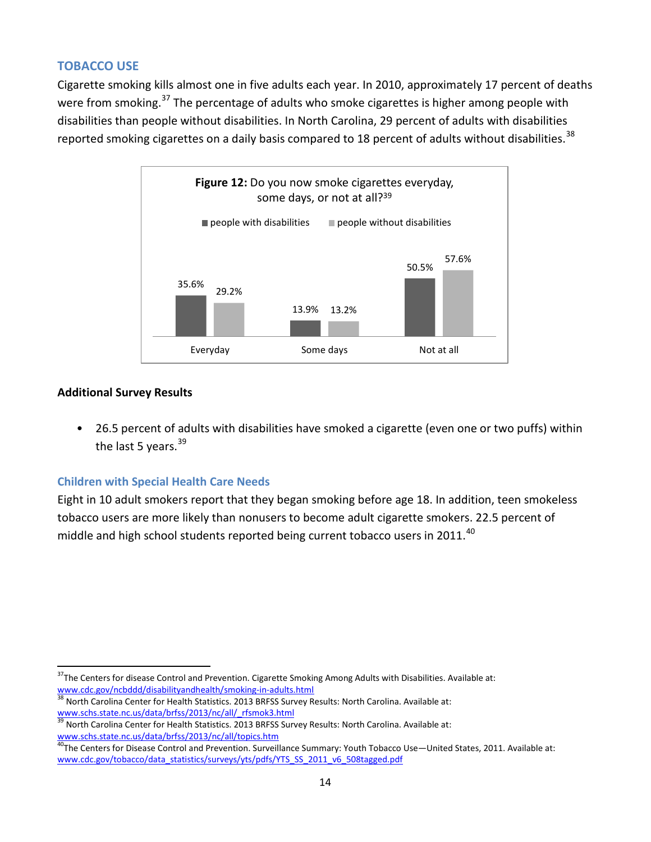#### **TOBACCO USE**

Cigarette smoking kills almost one in five adults each year. In 2010, approximately 17 percent of deaths were from smoking.<sup>[37](#page-13-0)</sup> The percentage of adults who smoke cigarettes is higher among people with disabilities than people without disabilities. In North Carolina, 29 percent of adults with disabilities reported smoking cigarettes on a daily basis compared to 18 percent of adults without disabilities.<sup>[38](#page-13-1)</sup>



#### **Additional Survey Results**

• 26.5 percent of adults with disabilities have smoked a cigarette (even one or two puffs) within the last 5 years. $39$ 

#### **Children with Special Health Care Needs**

Eight in 10 adult smokers report that they began smoking before age 18. In addition, teen smokeless tobacco users are more likely than nonusers to become adult cigarette smokers. 22.5 percent of middle and high school students reported being current tobacco users in 2011. $^{40}$  $^{40}$  $^{40}$ 

<span id="page-13-0"></span><sup>&</sup>lt;sup>37</sup>The Centers for disease Control and Prevention. Cigarette Smoking Among Adults with Disabilities. Available at:<br>www.cdc.gov/ncbddd/disabilityandhealth/smoking-in-adults.html

<span id="page-13-1"></span>North Carolina Center for Health Statistics. 2013 BRFSS Survey Results: North Carolina. Available at: [www.schs.state.nc.us/data/brfss/2013/nc/all/\\_rfsmok3.html](http://www.schs.state.nc.us/data/brfss/2013/nc/all/_rfsmok3.html)

<span id="page-13-2"></span><sup>39</sup> North Carolina Center for Health Statistics. 2013 BRFSS Survey Results: North Carolina. Available at: [www.schs.state.nc.us/data/brfss/2013/nc/all/topics.htm](http://www.schs.state.nc.us/data/brfss/2013/nc/all/topics.htm)

<span id="page-13-3"></span><sup>&</sup>lt;sup>40</sup>The Centers for Disease Control and Prevention. Surveillance Summary: Youth Tobacco Use—United States, 2011. Available at: [www.cdc.gov/tobacco/data\\_statistics/surveys/yts/pdfs/YTS\\_SS\\_2011\\_v6\\_508tagged.pdf](http://www.cdc.gov/tobacco/data_statistics/surveys/yts/pdfs/YTS_SS_2011_v6_508tagged.pdf)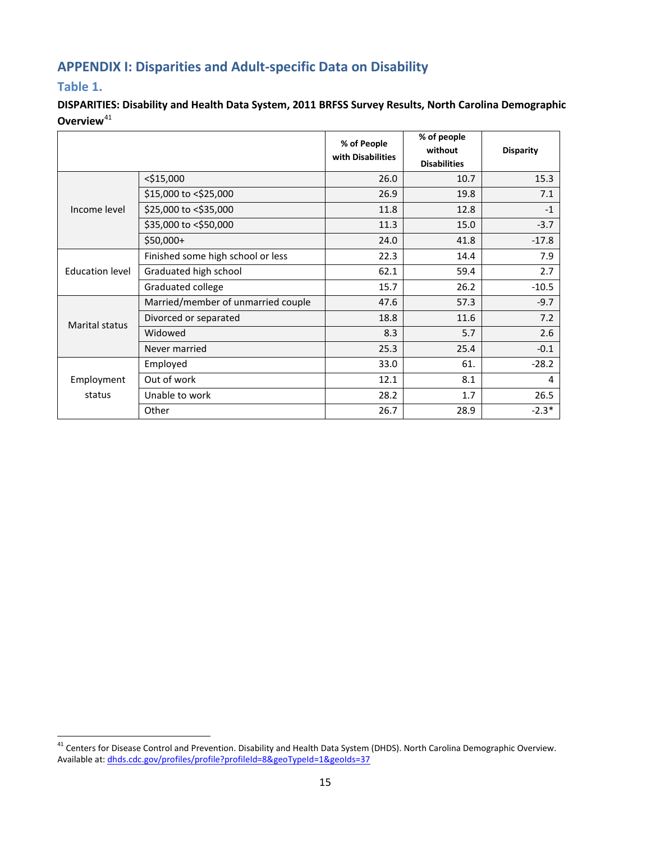# **APPENDIX I: Disparities and Adult-specific Data on Disability**

#### **Table 1.**

**DISPARITIES: Disability and Health Data System, 2011 BRFSS Survey Results, North Carolina Demographic Overview**<sup>[41](#page-14-0)</sup>

|                        |                                    | % of People<br>with Disabilities | % of people<br>without<br><b>Disabilities</b> | <b>Disparity</b> |
|------------------------|------------------------------------|----------------------------------|-----------------------------------------------|------------------|
|                        | $<$ \$15,000                       | 26.0                             | 10.7                                          | 15.3             |
|                        | \$15,000 to <\$25,000              | 26.9                             | 19.8                                          | 7.1              |
| Income level           | \$25,000 to <\$35,000              | 11.8                             | 12.8                                          | $-1$             |
|                        | \$35,000 to <\$50,000              | 11.3                             | 15.0                                          | $-3.7$           |
|                        | $$50,000+$                         | 24.0                             | 41.8                                          | $-17.8$          |
|                        | Finished some high school or less  | 22.3                             | 14.4                                          | 7.9              |
| <b>Education level</b> | Graduated high school              | 62.1                             | 59.4                                          | 2.7              |
|                        | Graduated college                  | 15.7                             | 26.2                                          | $-10.5$          |
| Marital status         | Married/member of unmarried couple | 47.6                             | 57.3                                          | $-9.7$           |
|                        | Divorced or separated              | 18.8                             | 11.6                                          | 7.2              |
|                        | Widowed                            | 8.3                              | 5.7                                           | 2.6              |
|                        | Never married                      | 25.3                             | 25.4                                          | $-0.1$           |
| Employment<br>status   | Employed                           | 33.0                             | 61.                                           | $-28.2$          |
|                        | Out of work                        | 12.1                             | 8.1                                           | 4                |
|                        | Unable to work                     | 28.2                             | 1.7                                           | 26.5             |
|                        | Other                              | 26.7                             | 28.9                                          | $-2.3*$          |

<span id="page-14-0"></span><sup>&</sup>lt;sup>41</sup> Centers for Disease Control and Prevention. Disability and Health Data System (DHDS). North Carolina Demographic Overview. Available at[: dhds.cdc.gov/profiles/profile?profileId=8&geoTypeId=1&geoIds=37](http://dhds.cdc.gov/profiles/profile?profileId=8&geoTypeId=1&geoIds=37)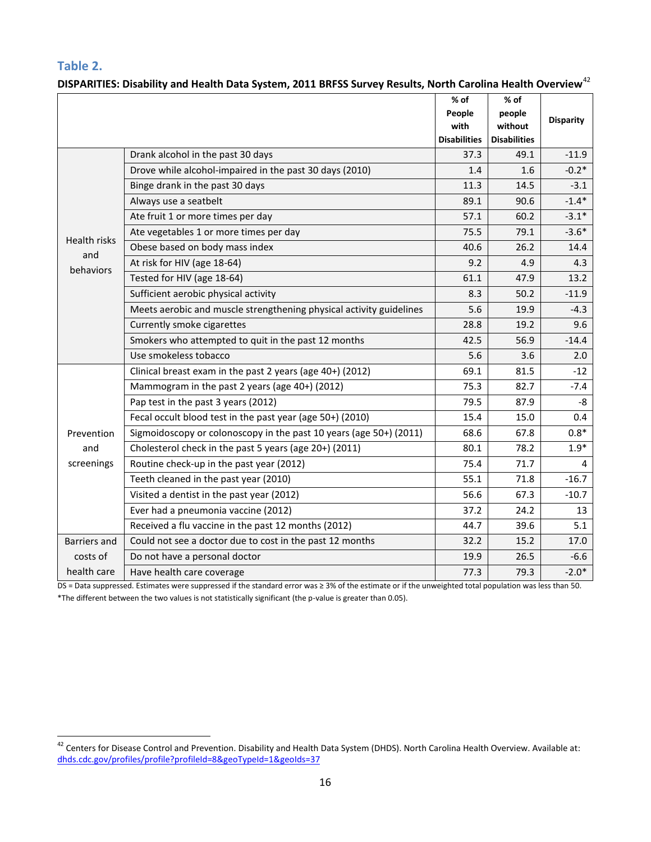**Table 2.**

|                                                                                            |                                                                     | $%$ of<br>People    | % of<br>people      |                  |
|--------------------------------------------------------------------------------------------|---------------------------------------------------------------------|---------------------|---------------------|------------------|
|                                                                                            |                                                                     | with                | without             | <b>Disparity</b> |
|                                                                                            |                                                                     | <b>Disabilities</b> | <b>Disabilities</b> |                  |
|                                                                                            | Drank alcohol in the past 30 days                                   | 37.3                | 49.1                | $-11.9$          |
| <b>Health risks</b><br>and<br>behaviors<br>Prevention<br>and<br>screenings<br>Barriers and | Drove while alcohol-impaired in the past 30 days (2010)             | 1.4                 | 1.6                 | $-0.2*$          |
|                                                                                            | Binge drank in the past 30 days                                     | 11.3                | 14.5                | $-3.1$           |
| costs of                                                                                   | Always use a seatbelt                                               | 89.1                | 90.6                | $-1.4*$          |
|                                                                                            | Ate fruit 1 or more times per day                                   | 57.1                | 60.2                | $-3.1*$          |
|                                                                                            | Ate vegetables 1 or more times per day                              | 75.5                | 79.1                | $-3.6*$          |
|                                                                                            | Obese based on body mass index                                      | 40.6                | 26.2                | 14.4             |
|                                                                                            | At risk for HIV (age 18-64)                                         | 9.2                 | 4.9                 | 4.3              |
|                                                                                            | Tested for HIV (age 18-64)                                          | 61.1                | 47.9                | 13.2             |
|                                                                                            | Sufficient aerobic physical activity                                | 8.3                 | 50.2                | $-11.9$          |
|                                                                                            | Meets aerobic and muscle strengthening physical activity guidelines | 5.6                 | 19.9                | $-4.3$           |
|                                                                                            | Currently smoke cigarettes                                          | 28.8                | 19.2                | 9.6              |
|                                                                                            | Smokers who attempted to quit in the past 12 months                 | 42.5                | 56.9                | $-14.4$          |
|                                                                                            | Use smokeless tobacco                                               | 5.6                 | 3.6                 | 2.0              |
|                                                                                            | Clinical breast exam in the past 2 years (age 40+) (2012)           | 69.1                | 81.5                | $-12$            |
|                                                                                            | Mammogram in the past 2 years (age 40+) (2012)                      | 75.3                | 82.7                | $-7.4$           |
|                                                                                            | Pap test in the past 3 years (2012)                                 | 79.5                | 87.9                | -8               |
|                                                                                            | Fecal occult blood test in the past year (age 50+) (2010)           | 15.4                | 15.0                | 0.4              |
|                                                                                            | Sigmoidoscopy or colonoscopy in the past 10 years (age 50+) (2011)  | 68.6                | 67.8                | $0.8*$           |
|                                                                                            | Cholesterol check in the past 5 years (age 20+) (2011)              | 80.1                | 78.2                | $1.9*$           |
|                                                                                            | Routine check-up in the past year (2012)                            | 75.4                | 71.7                | 4                |
|                                                                                            | Teeth cleaned in the past year (2010)                               | 55.1                | 71.8                | $-16.7$          |
|                                                                                            | Visited a dentist in the past year (2012)                           | 56.6                | 67.3                | $-10.7$          |
|                                                                                            | Ever had a pneumonia vaccine (2012)                                 | 37.2                | 24.2                | 13               |
|                                                                                            | Received a flu vaccine in the past 12 months (2012)                 | 44.7                | 39.6                | 5.1              |
|                                                                                            | Could not see a doctor due to cost in the past 12 months            | 32.2                | 15.2                | 17.0             |
|                                                                                            | Do not have a personal doctor                                       | 19.9                | 26.5                | $-6.6$           |
| health care                                                                                | Have health care coverage                                           | 77.3                | 79.3                | $-2.0*$          |

**DISPARITIES: Disability and Health Data System, 2011 BRFSS Survey Results, North Carolina Health Overview**[42](#page-15-0)

DS = Data suppressed. Estimates were suppressed if the standard error was ≥ 3% of the estimate or if the unweighted total population was less than 50. \*The different between the two values is not statistically significant (the p-value is greater than 0.05).

<span id="page-15-0"></span><sup>&</sup>lt;sup>42</sup> Centers for Disease Control and Prevention. Disability and Health Data System (DHDS). North Carolina Health Overview. Available at: [dhds.cdc.gov/profiles/profile?profileId=8&geoTypeId=1&geoIds=37](http://dhds.cdc.gov/profiles/profile?profileId=8&geoTypeId=1&geoIds=37)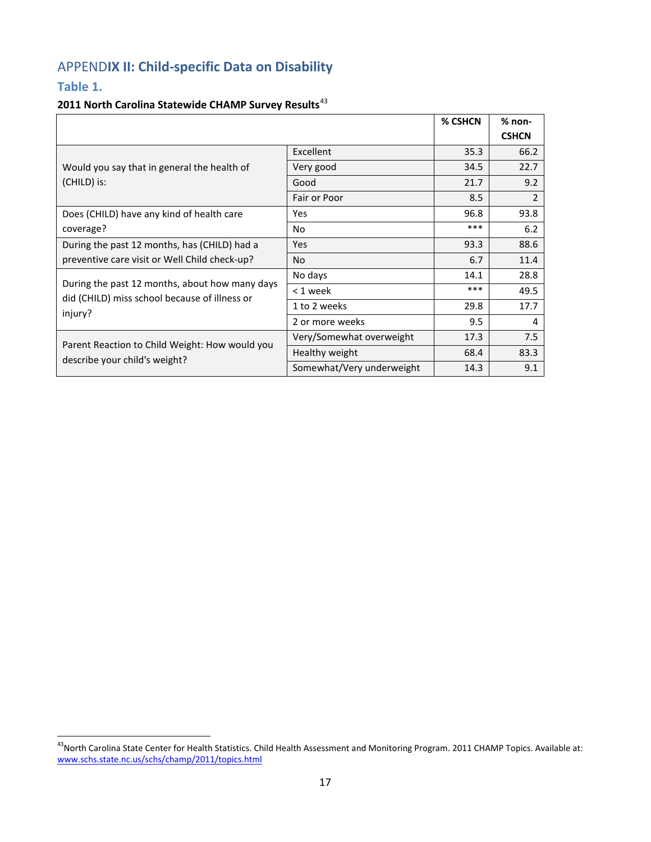# APPEND**IX II: Child-specific Data on Disability**

#### **Table 1.**

#### **2011 North Carolina Statewide CHAMP Survey Results**[43](#page-16-0)

|                                                                                                 |                           | % CSHCN | $%$ non-     |
|-------------------------------------------------------------------------------------------------|---------------------------|---------|--------------|
|                                                                                                 |                           |         | <b>CSHCN</b> |
|                                                                                                 | Excellent                 | 35.3    | 66.2         |
| Would you say that in general the health of                                                     | Very good                 | 34.5    | 22.7         |
| (CHILD) is:                                                                                     | Good                      | 21.7    | 9.2          |
|                                                                                                 | Fair or Poor              | 8.5     | 2            |
| Does (CHILD) have any kind of health care                                                       | Yes                       | 96.8    | 93.8         |
| coverage?                                                                                       | No                        | ***     | 6.2          |
| During the past 12 months, has (CHILD) had a                                                    | <b>Yes</b>                | 93.3    | 88.6         |
| preventive care visit or Well Child check-up?                                                   | No.                       | 6.7     | 11.4         |
|                                                                                                 | No days                   | 14.1    | 28.8         |
| During the past 12 months, about how many days<br>did (CHILD) miss school because of illness or | $< 1$ week                | ***     | 49.5         |
| injury?                                                                                         | 1 to 2 weeks              | 29.8    | 17.7         |
|                                                                                                 | 2 or more weeks           | 9.5     | 4            |
| Parent Reaction to Child Weight: How would you                                                  | Very/Somewhat overweight  | 17.3    | 7.5          |
| describe your child's weight?                                                                   | Healthy weight            | 68.4    | 83.3         |
|                                                                                                 | Somewhat/Very underweight | 14.3    | 9.1          |

<span id="page-16-0"></span><sup>&</sup>lt;sup>43</sup>North Carolina State Center for Health Statistics. Child Health Assessment and Monitoring Program. 2011 CHAMP Topics. Available at: [www.schs.state.nc.us/schs/champ/2011/topics.html](http://www.schs.state.nc.us/schs/champ/2011/topics.html)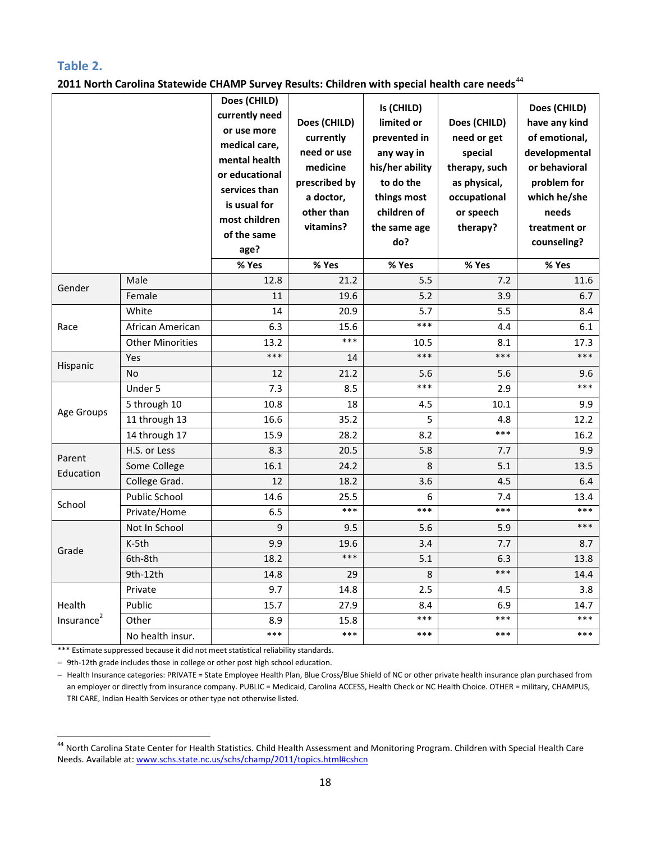#### **Table 2.**

**2011 North Carolina Statewide CHAMP Survey Results: Children with special health care needs**[44](#page-17-0)

|                        |                         | Does (CHILD)<br>currently need<br>or use more<br>medical care.<br>mental health<br>or educational<br>services than<br>is usual for<br>most children<br>of the same<br>age?<br>% Yes | Does (CHILD)<br>currently<br>need or use<br>medicine<br>prescribed by<br>a doctor,<br>other than<br>vitamins?<br>% Yes | Is (CHILD)<br>limited or<br>prevented in<br>any way in<br>his/her ability<br>to do the<br>things most<br>children of<br>the same age<br>do?<br>% Yes | Does (CHILD)<br>need or get<br>special<br>therapy, such<br>as physical,<br>occupational<br>or speech<br>therapy?<br>% Yes | Does (CHILD)<br>have any kind<br>of emotional,<br>developmental<br>or behavioral<br>problem for<br>which he/she<br>needs<br>treatment or<br>counseling?<br>% Yes |
|------------------------|-------------------------|-------------------------------------------------------------------------------------------------------------------------------------------------------------------------------------|------------------------------------------------------------------------------------------------------------------------|------------------------------------------------------------------------------------------------------------------------------------------------------|---------------------------------------------------------------------------------------------------------------------------|------------------------------------------------------------------------------------------------------------------------------------------------------------------|
|                        | Male                    | 12.8                                                                                                                                                                                | 21.2                                                                                                                   | 5.5                                                                                                                                                  | 7.2                                                                                                                       | 11.6                                                                                                                                                             |
| Gender                 | Female                  | 11                                                                                                                                                                                  | 19.6                                                                                                                   | 5.2                                                                                                                                                  | 3.9                                                                                                                       | 6.7                                                                                                                                                              |
|                        | White                   | 14                                                                                                                                                                                  | 20.9                                                                                                                   | 5.7                                                                                                                                                  | 5.5                                                                                                                       | 8.4                                                                                                                                                              |
| Race                   | African American        | 6.3                                                                                                                                                                                 | 15.6                                                                                                                   | $***$                                                                                                                                                | 4.4                                                                                                                       | 6.1                                                                                                                                                              |
|                        | <b>Other Minorities</b> | 13.2                                                                                                                                                                                | $***$                                                                                                                  | 10.5                                                                                                                                                 | 8.1                                                                                                                       | 17.3                                                                                                                                                             |
|                        | Yes                     | $***$                                                                                                                                                                               | 14                                                                                                                     | $***$                                                                                                                                                | $***$                                                                                                                     | $***$                                                                                                                                                            |
| Hispanic               | <b>No</b>               | 12                                                                                                                                                                                  | 21.2                                                                                                                   | 5.6                                                                                                                                                  | 5.6                                                                                                                       | 9.6                                                                                                                                                              |
| Age Groups             | Under 5                 | 7.3                                                                                                                                                                                 | 8.5                                                                                                                    | ***                                                                                                                                                  | 2.9                                                                                                                       | ***                                                                                                                                                              |
|                        | 5 through 10            | 10.8                                                                                                                                                                                | 18                                                                                                                     | 4.5                                                                                                                                                  | 10.1                                                                                                                      | 9.9                                                                                                                                                              |
|                        | 11 through 13           | 16.6                                                                                                                                                                                | 35.2                                                                                                                   | 5                                                                                                                                                    | 4.8                                                                                                                       | 12.2                                                                                                                                                             |
|                        | 14 through 17           | 15.9                                                                                                                                                                                | 28.2                                                                                                                   | 8.2                                                                                                                                                  | ***                                                                                                                       | 16.2                                                                                                                                                             |
|                        | H.S. or Less            | 8.3                                                                                                                                                                                 | 20.5                                                                                                                   | 5.8                                                                                                                                                  | 7.7                                                                                                                       | 9.9                                                                                                                                                              |
| Parent<br>Education    | Some College            | 16.1                                                                                                                                                                                | 24.2                                                                                                                   | 8                                                                                                                                                    | 5.1                                                                                                                       | 13.5                                                                                                                                                             |
|                        | College Grad.           | 12                                                                                                                                                                                  | 18.2                                                                                                                   | 3.6                                                                                                                                                  | 4.5                                                                                                                       | 6.4                                                                                                                                                              |
| School                 | Public School           | 14.6                                                                                                                                                                                | 25.5                                                                                                                   | 6                                                                                                                                                    | 7.4                                                                                                                       | 13.4                                                                                                                                                             |
|                        | Private/Home            | 6.5                                                                                                                                                                                 | ***                                                                                                                    | $***$                                                                                                                                                | $***$                                                                                                                     | ***                                                                                                                                                              |
|                        | Not In School           | 9                                                                                                                                                                                   | 9.5                                                                                                                    | 5.6                                                                                                                                                  | 5.9                                                                                                                       | ***                                                                                                                                                              |
| Grade                  | K-5th                   | 9.9                                                                                                                                                                                 | 19.6                                                                                                                   | 3.4                                                                                                                                                  | 7.7                                                                                                                       | 8.7                                                                                                                                                              |
|                        | 6th-8th                 | 18.2                                                                                                                                                                                | ***                                                                                                                    | 5.1                                                                                                                                                  | 6.3                                                                                                                       | 13.8                                                                                                                                                             |
|                        | $9th-12th$              | 14.8                                                                                                                                                                                | 29                                                                                                                     | 8                                                                                                                                                    | ***                                                                                                                       | 14.4                                                                                                                                                             |
|                        | Private                 | 9.7                                                                                                                                                                                 | 14.8                                                                                                                   | 2.5                                                                                                                                                  | 4.5                                                                                                                       | 3.8                                                                                                                                                              |
| Health                 | Public                  | 15.7                                                                                                                                                                                | 27.9                                                                                                                   | 8.4                                                                                                                                                  | 6.9                                                                                                                       | 14.7                                                                                                                                                             |
| Insurance <sup>2</sup> | Other                   | 8.9                                                                                                                                                                                 | 15.8                                                                                                                   | ***                                                                                                                                                  | ***                                                                                                                       | ***                                                                                                                                                              |
|                        | No health insur.        | $***$                                                                                                                                                                               | $***$                                                                                                                  | ***                                                                                                                                                  | ***                                                                                                                       | ***                                                                                                                                                              |

\*\*\* Estimate suppressed because it did not meet statistical reliability standards.

− 9th-12th grade includes those in college or other post high school education.

− Health Insurance categories: PRIVATE = State Employee Health Plan, Blue Cross/Blue Shield of NC or other private health insurance plan purchased from an employer or directly from insurance company. PUBLIC = Medicaid, Carolina ACCESS, Health Check or NC Health Choice. OTHER = military, CHAMPUS, TRI CARE, Indian Health Services or other type not otherwise listed.

<span id="page-17-0"></span> <sup>44</sup> North Carolina State Center for Health Statistics. Child Health Assessment and Monitoring Program. Children with Special Health Care Needs. Available at[: www.schs.state.nc.us/schs/champ/2011/topics.html#cshcn](http://www.schs.state.nc.us/schs/champ/2011/topics.html#cshcn)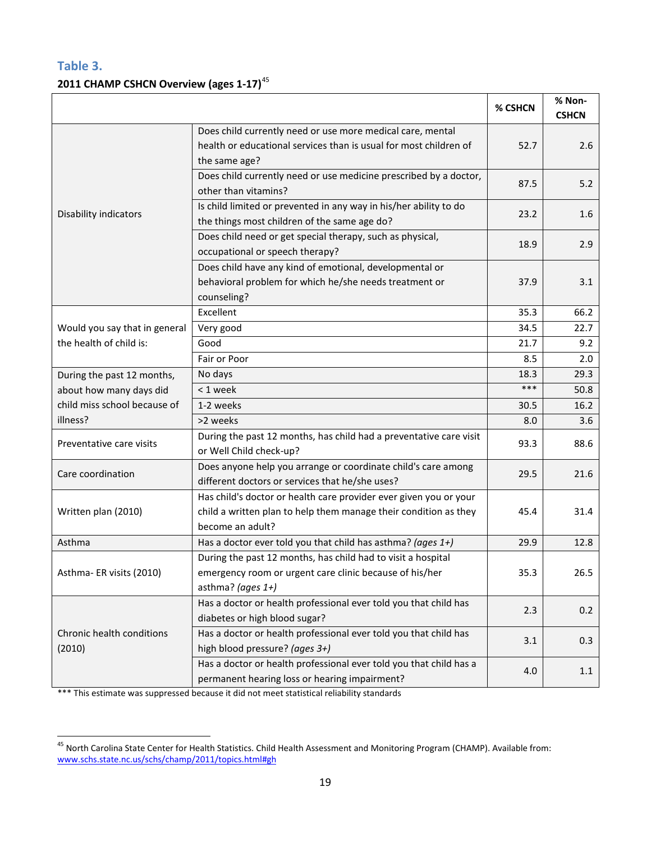### **Table 3. 2011 CHAMP CSHCN Overview (ages 1-17)**[45](#page-18-0)

|                                     |                                                                                                                                                           | % CSHCN | % Non-<br><b>CSHCN</b> |
|-------------------------------------|-----------------------------------------------------------------------------------------------------------------------------------------------------------|---------|------------------------|
|                                     | Does child currently need or use more medical care, mental<br>health or educational services than is usual for most children of<br>the same age?          | 52.7    | 2.6                    |
|                                     | Does child currently need or use medicine prescribed by a doctor,<br>other than vitamins?                                                                 | 87.5    | 5.2                    |
| Disability indicators               | Is child limited or prevented in any way in his/her ability to do<br>the things most children of the same age do?                                         | 23.2    | 1.6                    |
|                                     | Does child need or get special therapy, such as physical,<br>occupational or speech therapy?                                                              | 18.9    | 2.9                    |
|                                     | Does child have any kind of emotional, developmental or<br>behavioral problem for which he/she needs treatment or<br>counseling?                          | 37.9    | 3.1                    |
|                                     | Excellent                                                                                                                                                 | 35.3    | 66.2                   |
| Would you say that in general       | Very good                                                                                                                                                 | 34.5    | 22.7                   |
| the health of child is:             | Good                                                                                                                                                      | 21.7    | 9.2                    |
|                                     | Fair or Poor                                                                                                                                              | 8.5     | 2.0                    |
| During the past 12 months,          | No days                                                                                                                                                   | 18.3    | 29.3                   |
| about how many days did             | < 1 week                                                                                                                                                  | ***     | 50.8                   |
| child miss school because of        | 1-2 weeks                                                                                                                                                 | 30.5    | 16.2                   |
| illness?                            | >2 weeks                                                                                                                                                  | 8.0     | 3.6                    |
| Preventative care visits            | During the past 12 months, has child had a preventative care visit<br>or Well Child check-up?                                                             | 93.3    | 88.6                   |
| Care coordination                   | Does anyone help you arrange or coordinate child's care among<br>different doctors or services that he/she uses?                                          | 29.5    | 21.6                   |
| Written plan (2010)                 | Has child's doctor or health care provider ever given you or your<br>child a written plan to help them manage their condition as they<br>become an adult? | 45.4    | 31.4                   |
| Asthma                              | Has a doctor ever told you that child has asthma? (ages $1+$ )                                                                                            | 29.9    | 12.8                   |
| Asthma-ER visits (2010)             | During the past 12 months, has child had to visit a hospital<br>emergency room or urgent care clinic because of his/her<br>asthma? (ages $1+$ )           | 35.3    | 26.5                   |
|                                     | Has a doctor or health professional ever told you that child has<br>diabetes or high blood sugar?                                                         | 2.3     | 0.2                    |
| Chronic health conditions<br>(2010) | Has a doctor or health professional ever told you that child has<br>high blood pressure? (ages 3+)                                                        | 3.1     | 0.3                    |
|                                     | Has a doctor or health professional ever told you that child has a<br>permanent hearing loss or hearing impairment?                                       | 4.0     | 1.1                    |

\*\*\* This estimate was suppressed because it did not meet statistical reliability standards

<span id="page-18-0"></span><sup>&</sup>lt;sup>45</sup> North Carolina State Center for Health Statistics. Child Health Assessment and Monitoring Program (CHAMP). Available from: [www.schs.state.nc.us/schs/champ/2011/topics.html#gh](http://www.schs.state.nc.us/schs/champ/2011/topics.html#gh)